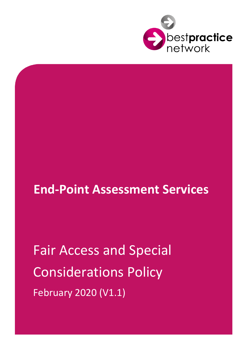

# **End-Point Assessment Services**

Fair Access and Special Considerations Policy February 2020 (V1.1)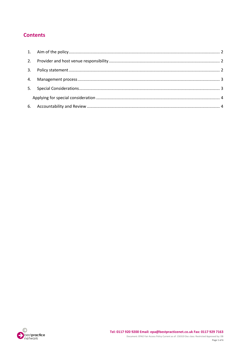## **Contents**

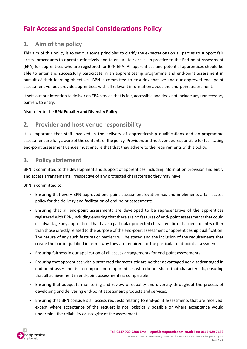## **Fair Access and Special Considerations Policy**

## <span id="page-2-0"></span>**1. Aim of the policy**

This aim of this policy is to set out some principles to clarify the expectations on all parties to support fair access procedures to operate effectively and to ensure fair access in practice to the End-point Assessment (EPA) for apprentices who are registered for BPN EPA. All apprentices and potential apprentices should be able to enter and successfully participate in an apprenticeship programme and end-point assessment in pursuit of their learning objectives. BPN is committed to ensuring that we and our approved end- point assessment venues provide apprentices with all relevant information about the end-point assessment.

It sets out our intention to deliver an EPA service that is fair, accessible and does not include any unnecessary barriers to entry.

Also refer to the **BPN Equality and Diversity Policy**.

### <span id="page-2-1"></span>**2. Provider and host venue responsibility**

It is important that staff involved in the delivery of apprenticeship qualifications and on-programme assessment are fully aware of the contents of the policy. Providers and host venues responsible for facilitating end-point assessment venues must ensure that that they adhere to the requirements of this policy.

#### <span id="page-2-2"></span>**3. Policy statement**

BPN is committed to the development and support of apprentices including information provision and entry and access arrangements, irrespective of any protected characteristic they may have.

BPN is committed to:

- Ensuring that every BPN approved end-point assessment location has and implements a fair access policy for the delivery and facilitation of end-point assessments.
- Ensuring that all end-point assessments are developed to be representative of the apprentices registered with BPN, including ensuring that there are no features of end- point assessments that could disadvantage any apprentices that have a particular protected characteristic or barriers to entry other than those directly related to the purpose of the end-point assessment or apprenticeship qualification. The nature of any such features or barriers will be stated and the inclusion of the requirements that create the barrier justified in terms why they are required for the particular end-point assessment.
- Ensuring fairness in our application of all access arrangements for end-point assessments.
- Ensuring that apprentices with a protected characteristic are neither advantaged nor disadvantaged in end-point assessments in comparison to apprentices who do not share that characteristic, ensuring that all achievement in end-point assessments is comparable.
- Ensuring that adequate monitoring and review of equality and diversity throughout the process of developing and delivering end-point assessment products and services.
- Ensuring that BPN considers all access requests relating to end-point assessments that are received, except where acceptance of the request is not logistically possible or where acceptance would undermine the reliability or integrity of the assessment.

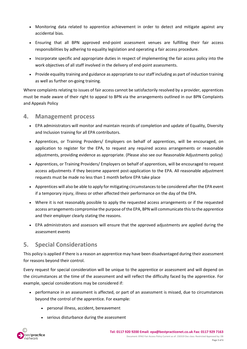- Monitoring data related to apprentice achievement in order to detect and mitigate against any accidental bias.
- Ensuring that all BPN approved end-point assessment venues are fulfilling their fair access responsibilities by adhering to equality legislation and operating a fair access procedure.
- Incorporate specific and appropriate duties in respect of implementing the fair access policy into the work objectives of all staff involved in the delivery of end-point assessments.
- Provide equality training and guidance as appropriate to our staff including as part of induction training as well as further on-going training.

Where complaints relating to issues of fair access cannot be satisfactorily resolved by a provider, apprentices must be made aware of their right to appeal to BPN via the arrangements outlined in our BPN Complaints and Appeals Policy

#### <span id="page-3-0"></span>**4. Management process**

- EPA administrators will monitor and maintain records of completion and update of Equality, Diversity and Inclusion training for all EPA contributors.
- Apprentices, or Training Providers/ Employers on behalf of apprentices, will be encouraged, on application to register for the EPA, to request any required access arrangements or reasonable adjustments, providing evidence as appropriate. (Please also see our Reasonable Adjustments policy)
- Apprentices, or Training Providers/ Employers on behalf of apprentices, will be encouraged to request access adjustments if they become apparent post-application to the EPA. All reasonable adjustment requests must be made no less than 1 month before EPA take place
- Apprentices will also be able to apply for mitigating circumstances to be considered after the EPA event if a temporary injury, illness or other affected their performance on the day of the EPA.
- Where it is not reasonably possible to apply the requested access arrangements or if the requested access arrangements compromise the purpose of the EPA, BPN will communicate this to the apprentice and their employer clearly stating the reasons.
- EPA administrators and assessors will ensure that the approved adjustments are applied during the assessment events

## <span id="page-3-1"></span>**5. Special Considerations**

This policy is applied if there is a reason an apprentice may have been disadvantaged during their assessment for reasons beyond their control.

Every request for special consideration will be unique to the apprentice or assessment and will depend on the circumstances at the time of the assessment and will reflect the difficulty faced by the apprentice. For example, special considerations may be considered if:

- performance in an assessment is affected, or part of an assessment is missed, due to circumstances beyond the control of the apprentice. For example:
	- personal illness, accident, bereavement
	- serious disturbance during the assessment

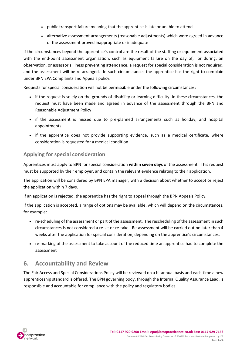- public transport failure meaning that the apprentice is late or unable to attend
- alternative assessment arrangements (reasonable adjustments) which were agreed in advance of the assessment proved inappropriate or inadequate

If the circumstances beyond the apprentice's control are the result of the staffing or equipment associated with the end-point assessment organisation, such as equipment failure on the day of, or during, an observation, or assessor's illness preventing attendance, a request for special consideration is not required, and the assessment will be re-arranged. In such circumstances the apprentice has the right to complain under BPN EPA Complaints and Appeals policy.

Requests for special consideration will not be permissible under the following circumstances:

- if the request is solely on the grounds of disability or learning difficulty. In these circumstances, the request must have been made and agreed in advance of the assessment through the BPN and Reasonable Adjustment Policy
- if the assessment is missed due to pre-planned arrangements such as holiday, and hospital appointments
- if the apprentice does not provide supporting evidence, such as a medical certificate, where consideration is requested for a medical condition.

#### <span id="page-4-0"></span>**Applying for special consideration**

Apprentices must apply to BPN for special consideration **within seven days** of the assessment. This request must be supported by their employer, and contain the relevant evidence relating to their application.

The application will be considered by BPN EPA manager, with a decision about whether to accept or reject the application within 7 days.

If an application is rejected, the apprentice has the right to appeal through the BPN Appeals Policy.

If the application is accepted, a range of options may be available, which will depend on the circumstances, for example:

- re-scheduling of the assessment or part of the assessment. The rescheduling of the assessment in such circumstances is not considered a re-sit or re-take. Re-assessment will be carried out no later than 4 weeks after the application for special consideration, depending on the apprentice's circumstances.
- re-marking of the assessment to take account of the reduced time an apprentice had to complete the assessment

## <span id="page-4-1"></span>**6. Accountability and Review**

The Fair Access and Special Considerations Policy will be reviewed on a bi-annual basis and each time a new apprenticeship standard is offered. The BPN governing body, through the Internal Quality Assurance Lead, is responsible and accountable for compliance with the policy and regulatory bodies.